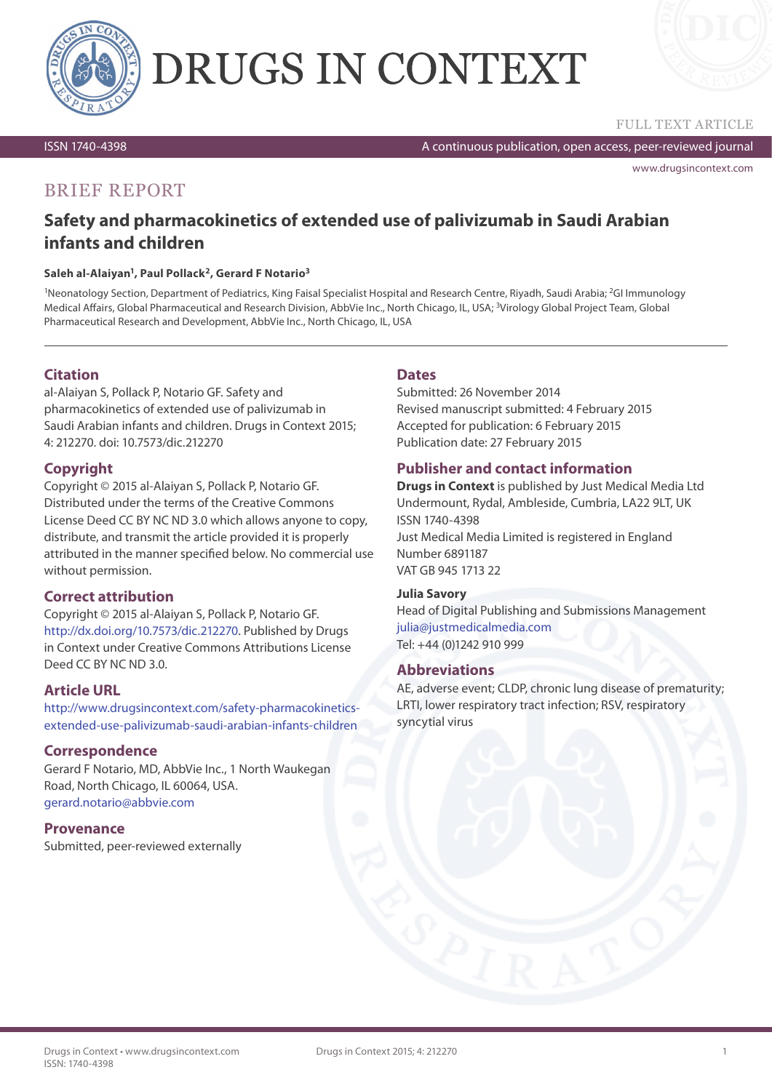

# DRUGS IN CONTEXT



ISSN 1740-4398

A continuous publication, open access, peer-reviewed journal

[www.drugsincontext.com](http://www.drugsincontext.com)

## BRIEF REPORT

## **Safety and pharmacokinetics of extended use of palivizumab in Saudi Arabian infants and children**

#### **Saleh al-Alaiyan1, Paul Pollack2, Gerard F Notario3**

<sup>1</sup>Neonatology Section, Department of Pediatrics, King Faisal Specialist Hospital and Research Centre, Riyadh, Saudi Arabia; <sup>2</sup>GI Immunology Medical Affairs, Global Pharmaceutical and Research Division, AbbVie Inc., North Chicago, IL, USA; 3Virology Global Project Team, Global Pharmaceutical Research and Development, AbbVie Inc., North Chicago, IL, USA

## **Citation**

al-Alaiyan S, Pollack P, Notario GF. Safety and pharmacokinetics of extended use of palivizumab in Saudi Arabian infants and children. Drugs in Context 2015; 4: 212270. doi: 10.7573/dic.212270

## **Copyright**

Copyright © 2015 al-Alaiyan S, Pollack P, Notario GF. Distributed under the terms of the Creative Commons License Deed CC BY NC ND 3.0 which allows anyone to copy, distribute, and transmit the article provided it is properly attributed in the manner specified below. No commercial use without permission.

## **Correct attribution**

Copyright © 2015 al-Alaiyan S, Pollack P, Notario GF. [http://dx.doi.org/10.7573/dic.212270.](http://dx.doi.org/10.7573/dic.212270) Published by Drugs in Context under Creative Commons Attributions License Deed CC BY NC ND 3.0.

## **Article URL**

http:/[/www.drugsincontext.com/safety-pharmacokinetics](http://www.drugsincontext.com/safety-pharmacokinetics-extended-use-palivizumab-saudi-arabian-infants-children)[extended-use-palivizumab-saudi-arabian-infants-children](http://www.drugsincontext.com/safety-pharmacokinetics-extended-use-palivizumab-saudi-arabian-infants-children)

## **Correspondence**

Gerard F Notario, MD, AbbVie Inc., 1 North Waukegan Road, North Chicago, IL 60064, USA. [gerard.notario@abbvie.com](mailto:gerard.notario%40abbvie.com?subject=)

## **Provenance**

Submitted, peer-reviewed externally

## **Dates**

Submitted: 26 November 2014 Revised manuscript submitted: 4 February 2015 Accepted for publication: 6 February 2015 Publication date: 27 February 2015

## **Publisher and contact information**

**Drugs in Context** is published by Just Medical Media Ltd Undermount, Rydal, Ambleside, Cumbria, LA22 9LT, UK ISSN 1740-4398 Just Medical Media Limited is registered in England Number 6891187 VAT GB 945 1713 22

#### **Julia Savory**

Head of Digital Publishing and Submissions Management [julia@justmedicalmedia.com](mailto:julia%40justmedicalmedia.com?subject=) Tel: +44 (0)1242 910 999

#### **Abbreviations**

AE, adverse event; CLDP, chronic lung disease of prematurity; LRTI, lower respiratory tract infection; RSV, respiratory syncytial virus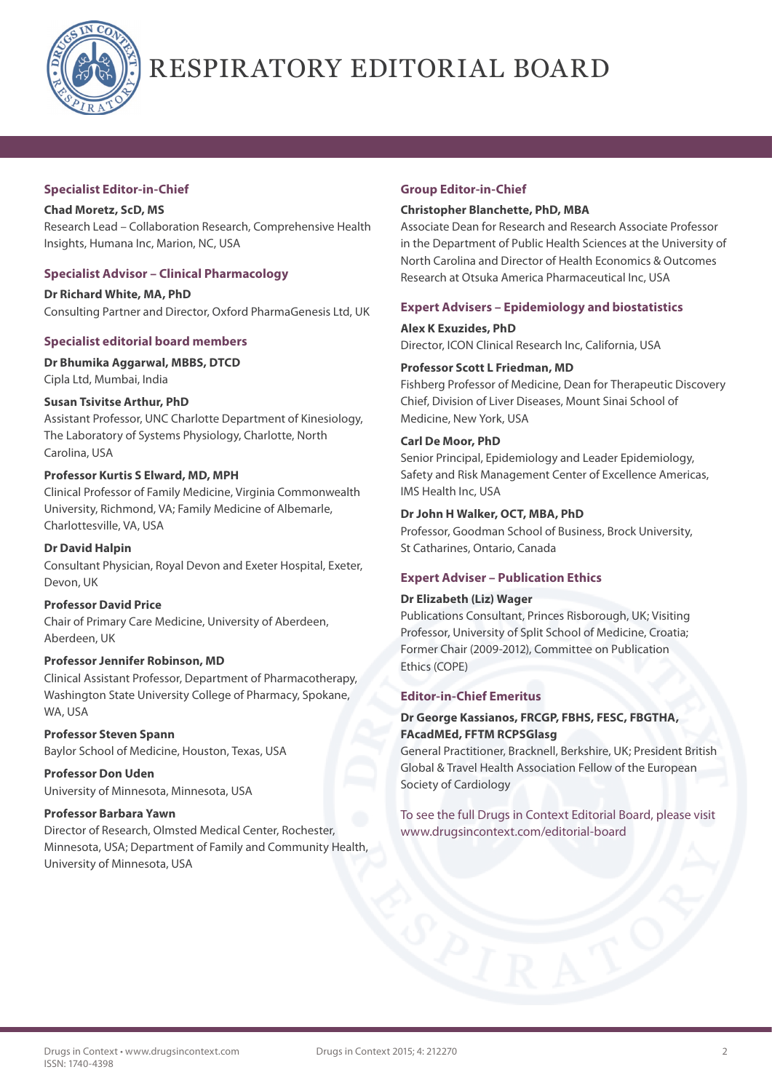

# RESPIRATORY EDITORIAL BOARD

#### **Specialist Editor-in-Chief**

**Chad Moretz, ScD, MS** Research Lead – Collaboration Research, Comprehensive Health Insights, Humana Inc, Marion, NC, USA

## **Specialist Advisor – Clinical Pharmacology**

**Dr Richard White, MA, PhD** Consulting Partner and Director, Oxford PharmaGenesis Ltd, UK

## **Specialist editorial board members**

**Dr Bhumika Aggarwal, MBBS, DTCD**

Cipla Ltd, Mumbai, India

## **Susan Tsivitse Arthur, PhD**

Assistant Professor, UNC Charlotte Department of Kinesiology, The Laboratory of Systems Physiology, Charlotte, North Carolina, USA

## **Professor Kurtis S Elward, MD, MPH**

Clinical Professor of Family Medicine, Virginia Commonwealth University, Richmond, VA; Family Medicine of Albemarle, Charlottesville, VA, USA

**Dr David Halpin** Consultant Physician, Royal Devon and Exeter Hospital, Exeter, Devon, UK

## **Professor David Price**

Chair of Primary Care Medicine, University of Aberdeen, Aberdeen, UK

## **Professor Jennifer Robinson, MD**

Clinical Assistant Professor, Department of Pharmacotherapy, Washington State University College of Pharmacy, Spokane, WA, USA

**Professor Steven Spann** Baylor School of Medicine, Houston, Texas, USA

**Professor Don Uden** University of Minnesota, Minnesota, USA

## **Professor Barbara Yawn**

Director of Research, Olmsted Medical Center, Rochester, Minnesota, USA; Department of Family and Community Health, University of Minnesota, USA

## **Group Editor-in-Chief**

#### **Christopher Blanchette, PhD, MBA**

Associate Dean for Research and Research Associate Professor in the Department of Public Health Sciences at the University of North Carolina and Director of Health Economics & Outcomes Research at Otsuka America Pharmaceutical Inc, USA

## **Expert Advisers – Epidemiology and biostatistics**

**Alex K Exuzides, PhD** Director, ICON Clinical Research Inc, California, USA

## **Professor Scott L Friedman, MD**

Fishberg Professor of Medicine, Dean for Therapeutic Discovery Chief, Division of Liver Diseases, Mount Sinai School of Medicine, New York, USA

#### **Carl De Moor, PhD**

Senior Principal, Epidemiology and Leader Epidemiology, Safety and Risk Management Center of Excellence Americas, IMS Health Inc, USA

## **Dr John H Walker, OCT, MBA, PhD**

Professor, Goodman School of Business, Brock University, St Catharines, Ontario, Canada

## **Expert Adviser – Publication Ethics**

#### **Dr Elizabeth (Liz) Wager**

Publications Consultant, Princes Risborough, UK; Visiting Professor, University of Split School of Medicine, Croatia; Former Chair (2009-2012), Committee on Publication Ethics (COPE)

#### **Editor-in-Chief Emeritus**

## **Dr George Kassianos, FRCGP, FBHS, FESC, FBGTHA, FAcadMEd, FFTM RCPSGlasg**

General Practitioner, Bracknell, Berkshire, UK; President British Global & Travel Health Association Fellow of the European Society of Cardiology

To see the full Drugs in Context Editorial Board, please visit www.drugsincontext.com/editorial-board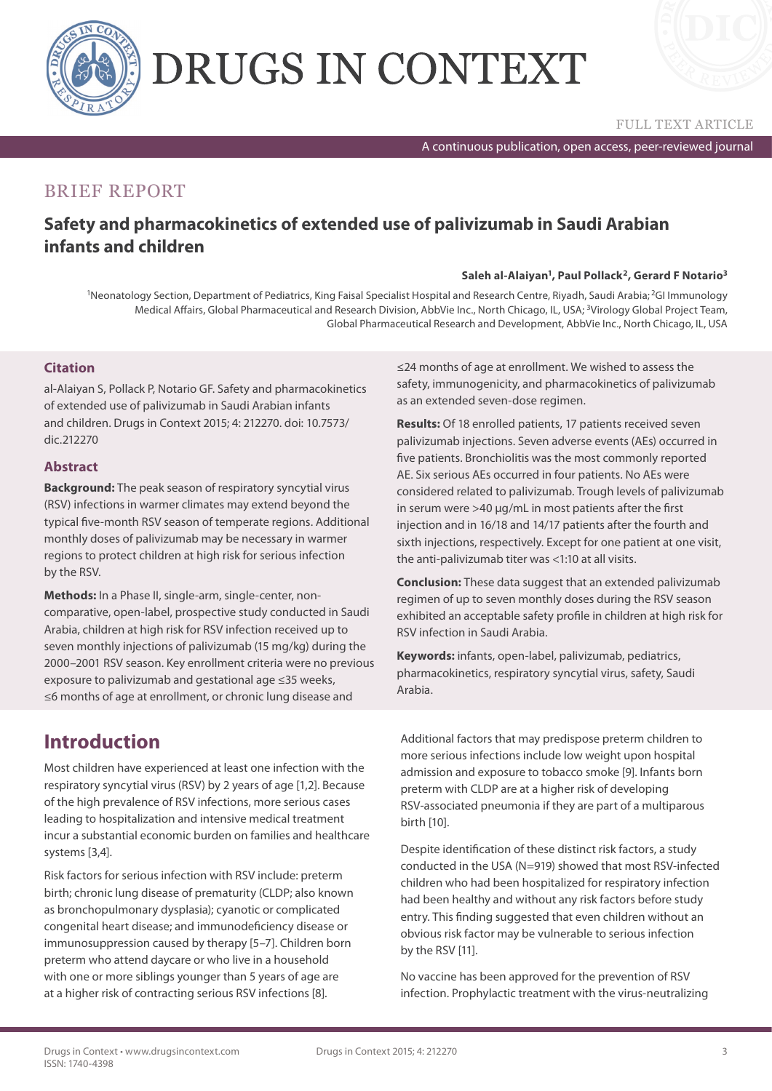

# DRUGS IN CONTEXT



A continuous publication, open access, peer-reviewed journal

## BRIEF REPORT

## **Safety and pharmacokinetics of extended use of palivizumab in Saudi Arabian infants and children**

#### **Saleh al-Alaiyan1, Paul Pollack2, Gerard F Notario3**

<sup>1</sup>Neonatology Section, Department of Pediatrics, King Faisal Specialist Hospital and Research Centre, Riyadh, Saudi Arabia; <sup>2</sup>GI Immunology Medical Affairs, Global Pharmaceutical and Research Division, AbbVie Inc., North Chicago, IL, USA; <sup>3</sup>Virology Global Project Team, Global Pharmaceutical Research and Development, AbbVie Inc., North Chicago, IL, USA

## **Citation**

al-Alaiyan S, Pollack P, Notario GF. Safety and pharmacokinetics of extended use of palivizumab in Saudi Arabian infants and children. Drugs in Context 2015; 4: 212270. doi: 10.7573/ dic.212270

## **Abstract**

**Background:** The peak season of respiratory syncytial virus (RSV) infections in warmer climates may extend beyond the typical five-month RSV season of temperate regions. Additional monthly doses of palivizumab may be necessary in warmer regions to protect children at high risk for serious infection by the RSV.

**Methods:** In a Phase II, single-arm, single-center, noncomparative, open-label, prospective study conducted in Saudi Arabia, children at high risk for RSV infection received up to seven monthly injections of palivizumab (15 mg/kg) during the 2000–2001 RSV season. Key enrollment criteria were no previous exposure to palivizumab and gestational age ≤35 weeks, ≤6 months of age at enrollment, or chronic lung disease and

≤24 months of age at enrollment. We wished to assess the safety, immunogenicity, and pharmacokinetics of palivizumab as an extended seven-dose regimen.

**Results:** Of 18 enrolled patients, 17 patients received seven palivizumab injections. Seven adverse events (AEs) occurred in five patients. Bronchiolitis was the most commonly reported AE. Six serious AEs occurred in four patients. No AEs were considered related to palivizumab. Trough levels of palivizumab in serum were >40 μg/mL in most patients after the first injection and in 16/18 and 14/17 patients after the fourth and sixth injections, respectively. Except for one patient at one visit, the anti-palivizumab titer was <1:10 at all visits.

**Conclusion:** These data suggest that an extended palivizumab regimen of up to seven monthly doses during the RSV season exhibited an acceptable safety profile in children at high risk for RSV infection in Saudi Arabia.

**Keywords:** infants, open-label, palivizumab, pediatrics, pharmacokinetics, respiratory syncytial virus, safety, Saudi Arabia.

## **Introduction**

Most children have experienced at least one infection with the respiratory syncytial virus (RSV) by 2 years of age [1,2]. Because of the high prevalence of RSV infections, more serious cases leading to hospitalization and intensive medical treatment incur a substantial economic burden on families and healthcare systems [3,4].

Risk factors for serious infection with RSV include: preterm birth; chronic lung disease of prematurity (CLDP; also known as bronchopulmonary dysplasia); cyanotic or complicated congenital heart disease; and immunodeficiency disease or immunosuppression caused by therapy [5–7]. Children born preterm who attend daycare or who live in a household with one or more siblings younger than 5 years of age are at a higher risk of contracting serious RSV infections [8].

Additional factors that may predispose preterm children to more serious infections include low weight upon hospital admission and exposure to tobacco smoke [9]. Infants born preterm with CLDP are at a higher risk of developing RSV-associated pneumonia if they are part of a multiparous birth [10].

Despite identification of these distinct risk factors, a study conducted in the USA (N=919) showed that most RSV-infected children who had been hospitalized for respiratory infection had been healthy and without any risk factors before study entry. This finding suggested that even children without an obvious risk factor may be vulnerable to serious infection by the RSV [11].

No vaccine has been approved for the prevention of RSV infection. Prophylactic treatment with the virus-neutralizing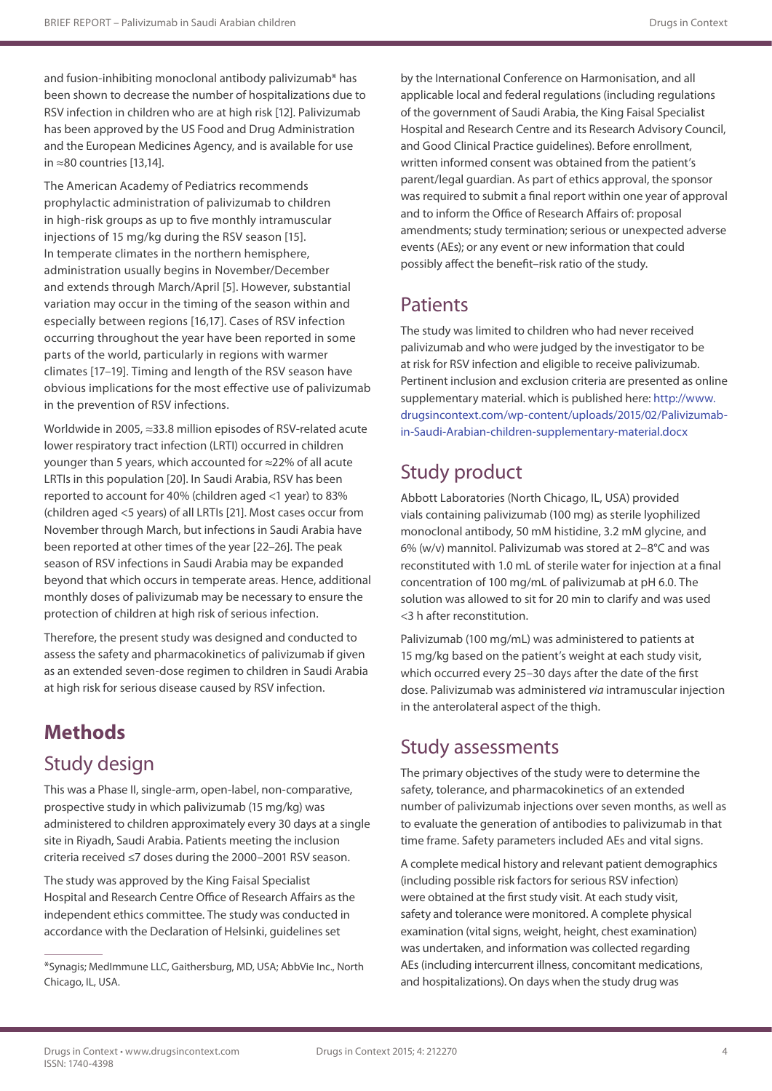and fusion-inhibiting monoclonal antibody palivizumab\* has been shown to decrease the number of hospitalizations due to RSV infection in children who are at high risk [12]. Palivizumab has been approved by the US Food and Drug Administration and the European Medicines Agency, and is available for use in ≈80 countries [13,14].

The American Academy of Pediatrics recommends prophylactic administration of palivizumab to children in high-risk groups as up to five monthly intramuscular injections of 15 mg/kg during the RSV season [15]. In temperate climates in the northern hemisphere, administration usually begins in November/December and extends through March/April [5]. However, substantial variation may occur in the timing of the season within and especially between regions [16,17]. Cases of RSV infection occurring throughout the year have been reported in some parts of the world, particularly in regions with warmer climates [17–19]. Timing and length of the RSV season have obvious implications for the most effective use of palivizumab in the prevention of RSV infections.

Worldwide in 2005, ≈33.8 million episodes of RSV-related acute lower respiratory tract infection (LRTI) occurred in children younger than 5 years, which accounted for ≈22% of all acute LRTIs in this population [20]. In Saudi Arabia, RSV has been reported to account for 40% (children aged <1 year) to 83% (children aged <5 years) of all LRTIs [21]. Most cases occur from November through March, but infections in Saudi Arabia have been reported at other times of the year [22–26]. The peak season of RSV infections in Saudi Arabia may be expanded beyond that which occurs in temperate areas. Hence, additional monthly doses of palivizumab may be necessary to ensure the protection of children at high risk of serious infection.

Therefore, the present study was designed and conducted to assess the safety and pharmacokinetics of palivizumab if given as an extended seven-dose regimen to children in Saudi Arabia at high risk for serious disease caused by RSV infection.

# **Methods**

## Study design

This was a Phase II, single-arm, open-label, non-comparative, prospective study in which palivizumab (15 mg/kg) was administered to children approximately every 30 days at a single site in Riyadh, Saudi Arabia. Patients meeting the inclusion criteria received ≤7 doses during the 2000–2001 RSV season.

The study was approved by the King Faisal Specialist Hospital and Research Centre Office of Research Affairs as the independent ethics committee. The study was conducted in accordance with the Declaration of Helsinki, guidelines set

by the International Conference on Harmonisation, and all applicable local and federal regulations (including regulations of the government of Saudi Arabia, the King Faisal Specialist Hospital and Research Centre and its Research Advisory Council, and Good Clinical Practice guidelines). Before enrollment, written informed consent was obtained from the patient's parent/legal guardian. As part of ethics approval, the sponsor was required to submit a final report within one year of approval and to inform the Office of Research Affairs of: proposal amendments; study termination; serious or unexpected adverse events (AEs); or any event or new information that could possibly affect the benefit–risk ratio of the study.

## **Patients**

The study was limited to children who had never received palivizumab and who were judged by the investigator to be at risk for RSV infection and eligible to receive palivizumab. Pertinent inclusion and exclusion criteria are presented as online supplementary material. which is published here: [http://www.](http://www.drugsincontext.com/wp-content/uploads/2015/02/Palivizumab-in-Saudi-Arabian-children-supplementary-material.docx) [drugsincontext.com/wp-content/uploads/2015/02/Palivizumab](http://www.drugsincontext.com/wp-content/uploads/2015/02/Palivizumab-in-Saudi-Arabian-children-supplementary-material.docx)[in-Saudi-Arabian-children-supplementary-material.docx](http://www.drugsincontext.com/wp-content/uploads/2015/02/Palivizumab-in-Saudi-Arabian-children-supplementary-material.docx)

## Study product

Abbott Laboratories (North Chicago, IL, USA) provided vials containing palivizumab (100 mg) as sterile lyophilized monoclonal antibody, 50 mM histidine, 3.2 mM glycine, and 6% (w/v) mannitol. Palivizumab was stored at 2–8°C and was reconstituted with 1.0 mL of sterile water for injection at a final concentration of 100 mg/mL of palivizumab at pH 6.0. The solution was allowed to sit for 20 min to clarify and was used <3 h after reconstitution.

Palivizumab (100 mg/mL) was administered to patients at 15 mg/kg based on the patient's weight at each study visit, which occurred every 25–30 days after the date of the first dose. Palivizumab was administered *via* intramuscular injection in the anterolateral aspect of the thigh.

## Study assessments

The primary objectives of the study were to determine the safety, tolerance, and pharmacokinetics of an extended number of palivizumab injections over seven months, as well as to evaluate the generation of antibodies to palivizumab in that time frame. Safety parameters included AEs and vital signs.

A complete medical history and relevant patient demographics (including possible risk factors for serious RSV infection) were obtained at the first study visit. At each study visit, safety and tolerance were monitored. A complete physical examination (vital signs, weight, height, chest examination) was undertaken, and information was collected regarding AEs (including intercurrent illness, concomitant medications, and hospitalizations). On days when the study drug was

<sup>\*</sup>Synagis; MedImmune LLC, Gaithersburg, MD, USA; AbbVie Inc., North Chicago, IL, USA.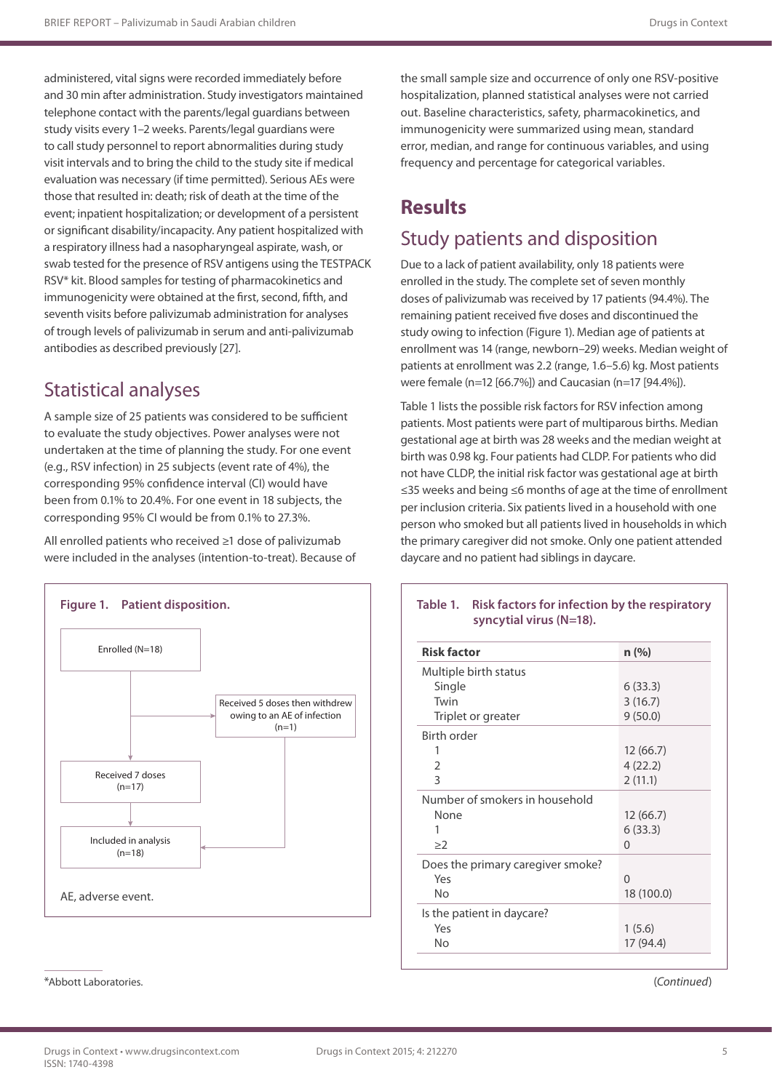administered, vital signs were recorded immediately before and 30 min after administration. Study investigators maintained telephone contact with the parents/legal guardians between study visits every 1–2 weeks. Parents/legal guardians were to call study personnel to report abnormalities during study visit intervals and to bring the child to the study site if medical evaluation was necessary (if time permitted). Serious AEs were those that resulted in: death; risk of death at the time of the event; inpatient hospitalization; or development of a persistent or significant disability/incapacity. Any patient hospitalized with a respiratory illness had a nasopharyngeal aspirate, wash, or swab tested for the presence of RSV antigens using the TESTPACK RSV\* kit. Blood samples for testing of pharmacokinetics and immunogenicity were obtained at the first, second, fifth, and seventh visits before palivizumab administration for analyses of trough levels of palivizumab in serum and anti-palivizumab antibodies as described previously [27].

## Statistical analyses

A sample size of 25 patients was considered to be sufficient to evaluate the study objectives. Power analyses were not undertaken at the time of planning the study. For one event (e.g., RSV infection) in 25 subjects (event rate of 4%), the corresponding 95% confidence interval (CI) would have been from 0.1% to 20.4%. For one event in 18 subjects, the corresponding 95% CI would be from 0.1% to 27.3%.

All enrolled patients who received ≥1 dose of palivizumab were included in the analyses (intention-to-treat). Because of



\*Abbott Laboratories.

the small sample size and occurrence of only one RSV-positive hospitalization, planned statistical analyses were not carried out. Baseline characteristics, safety, pharmacokinetics, and immunogenicity were summarized using mean, standard error, median, and range for continuous variables, and using frequency and percentage for categorical variables.

## **Results**

## Study patients and disposition

Due to a lack of patient availability, only 18 patients were enrolled in the study. The complete set of seven monthly doses of palivizumab was received by 17 patients (94.4%). The remaining patient received five doses and discontinued the study owing to infection (Figure 1). Median age of patients at enrollment was 14 (range, newborn–29) weeks. Median weight of patients at enrollment was 2.2 (range, 1.6–5.6) kg. Most patients were female (n=12 [66.7%]) and Caucasian (n=17 [94.4%]).

Table 1 lists the possible risk factors for RSV infection among patients. Most patients were part of multiparous births. Median gestational age at birth was 28 weeks and the median weight at birth was 0.98 kg. Four patients had CLDP. For patients who did not have CLDP, the initial risk factor was gestational age at birth ≤35 weeks and being ≤6 months of age at the time of enrollment per inclusion criteria. Six patients lived in a household with one person who smoked but all patients lived in households in which the primary caregiver did not smoke. Only one patient attended daycare and no patient had siblings in daycare.

## **Table 1. Risk factors for infection by the respiratory syncytial virus (N=18).**

| <b>Risk factor</b>                | n (% )     |
|-----------------------------------|------------|
| Multiple birth status             |            |
| Single                            | 6(33.3)    |
| Twin                              | 3(16.7)    |
| Triplet or greater                | 9(50.0)    |
| Birth order                       |            |
|                                   | 12(66.7)   |
| 2                                 | 4(22.2)    |
| 3                                 | 2(11.1)    |
| Number of smokers in household    |            |
| None                              | 12(66.7)   |
| 1                                 | 6(33.3)    |
| $\geq$ 2                          | $\Omega$   |
| Does the primary caregiver smoke? |            |
| Yes                               | $\Omega$   |
| No                                | 18 (100.0) |
| Is the patient in daycare?        |            |
| Yes                               | 1(5.6)     |
| No                                | 17 (94.4)  |

(*Continued*)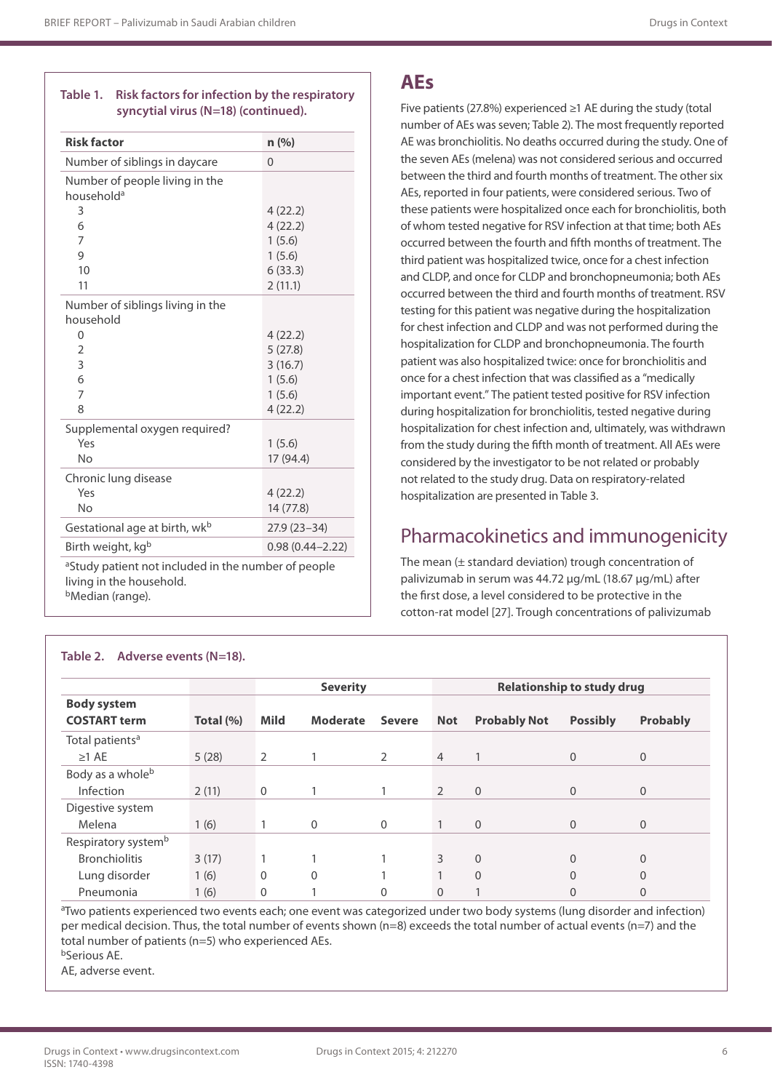## **Table 1. Risk factors for infection by the respiratory syncytial virus (N=18) (continued).**

| <b>Risk factor</b>                                       | n (%)               |
|----------------------------------------------------------|---------------------|
| Number of siblings in daycare                            | $\overline{0}$      |
| Number of people living in the<br>household <sup>a</sup> |                     |
| 3                                                        | 4(22.2)             |
| 6                                                        | 4(22.2)             |
| 7                                                        | 1(5.6)              |
| 9                                                        | 1(5.6)              |
| 10                                                       | 6(33.3)             |
| 11                                                       | 2(11.1)             |
| Number of siblings living in the<br>household            |                     |
| $\Omega$                                                 | 4(22.2)             |
| $\overline{2}$                                           | 5(27.8)             |
| 3                                                        | 3(16.7)             |
| 6                                                        | 1(5.6)              |
| $\overline{7}$                                           | 1(5.6)              |
| 8                                                        | 4(22.2)             |
| Supplemental oxygen required?                            |                     |
| Yes                                                      | 1(5.6)              |
| <b>No</b>                                                | 17 (94.4)           |
| Chronic lung disease                                     |                     |
| Yes                                                      | 4(22.2)             |
| No                                                       | 14 (77.8)           |
| Gestational age at birth, wk <sup>b</sup>                | $27.9(23-34)$       |
| Birth weight, kgb                                        | $0.98(0.44 - 2.22)$ |
| aStudy patient not included in the number of people      |                     |

living in the household. bMedian (range).

# **AEs**

Five patients (27.8%) experienced ≥1 AE during the study (total number of AEs was seven; Table 2). The most frequently reported AE was bronchiolitis. No deaths occurred during the study. One of the seven AEs (melena) was not considered serious and occurred between the third and fourth months of treatment. The other six AEs, reported in four patients, were considered serious. Two of these patients were hospitalized once each for bronchiolitis, both of whom tested negative for RSV infection at that time; both AEs occurred between the fourth and fifth months of treatment. The third patient was hospitalized twice, once for a chest infection and CLDP, and once for CLDP and bronchopneumonia; both AEs occurred between the third and fourth months of treatment. RSV testing for this patient was negative during the hospitalization for chest infection and CLDP and was not performed during the hospitalization for CLDP and bronchopneumonia. The fourth patient was also hospitalized twice: once for bronchiolitis and once for a chest infection that was classified as a "medically important event." The patient tested positive for RSV infection during hospitalization for bronchiolitis, tested negative during hospitalization for chest infection and, ultimately, was withdrawn from the study during the fifth month of treatment. All AEs were considered by the investigator to be not related or probably not related to the study drug. Data on respiratory-related hospitalization are presented in Table 3.

## Pharmacokinetics and immunogenicity

The mean (± standard deviation) trough concentration of palivizumab in serum was 44.72 μg/mL (18.67 μg/mL) after the first dose, a level considered to be protective in the cotton-rat model [27]. Trough concentrations of palivizumab

|                                           |           | <b>Severity</b> |                 | <b>Relationship to study drug</b> |                |                     |                 |                |
|-------------------------------------------|-----------|-----------------|-----------------|-----------------------------------|----------------|---------------------|-----------------|----------------|
| <b>Body system</b><br><b>COSTART term</b> | Total (%) | <b>Mild</b>     | <b>Moderate</b> | <b>Severe</b>                     | <b>Not</b>     | <b>Probably Not</b> | <b>Possibly</b> | Probably       |
| Total patients <sup>a</sup>               |           |                 |                 |                                   |                |                     |                 |                |
| $\geq$ 1 AE                               | 5(28)     | $\overline{2}$  |                 | 2                                 | 4              |                     | 0               | $\mathbf 0$    |
| Body as a whole <sup>b</sup>              |           |                 |                 |                                   |                |                     |                 |                |
| <b>Infection</b>                          | 2(11)     | $\mathbf{0}$    |                 |                                   | $\overline{2}$ | $\mathbf{0}$        | 0               | $\overline{0}$ |
| Digestive system                          |           |                 |                 |                                   |                |                     |                 |                |
| Melena                                    | 1(6)      |                 | $\mathbf{0}$    | $\mathbf{0}$                      |                | $\Omega$            | 0               | $\overline{0}$ |
| Respiratory system <sup>b</sup>           |           |                 |                 |                                   |                |                     |                 |                |
| <b>Bronchiolitis</b>                      | 3(17)     |                 |                 |                                   | 3              | $\Omega$            | 0               | 0              |
| Lung disorder                             | 1(6)      | $\mathbf{0}$    | $\mathbf{0}$    |                                   |                | $\Omega$            | $\overline{0}$  | $\overline{0}$ |
| Pneumonia                                 | 1(6)      | $\Omega$        |                 | $\Omega$                          | $\overline{0}$ |                     | 0               | 0              |

#### **Table 2. Adverse events (N=18).**

a Two patients experienced two events each; one event was categorized under two body systems (lung disorder and infection) per medical decision. Thus, the total number of events shown (n=8) exceeds the total number of actual events (n=7) and the total number of patients (n=5) who experienced AEs.

bSerious AE.

AE, adverse event.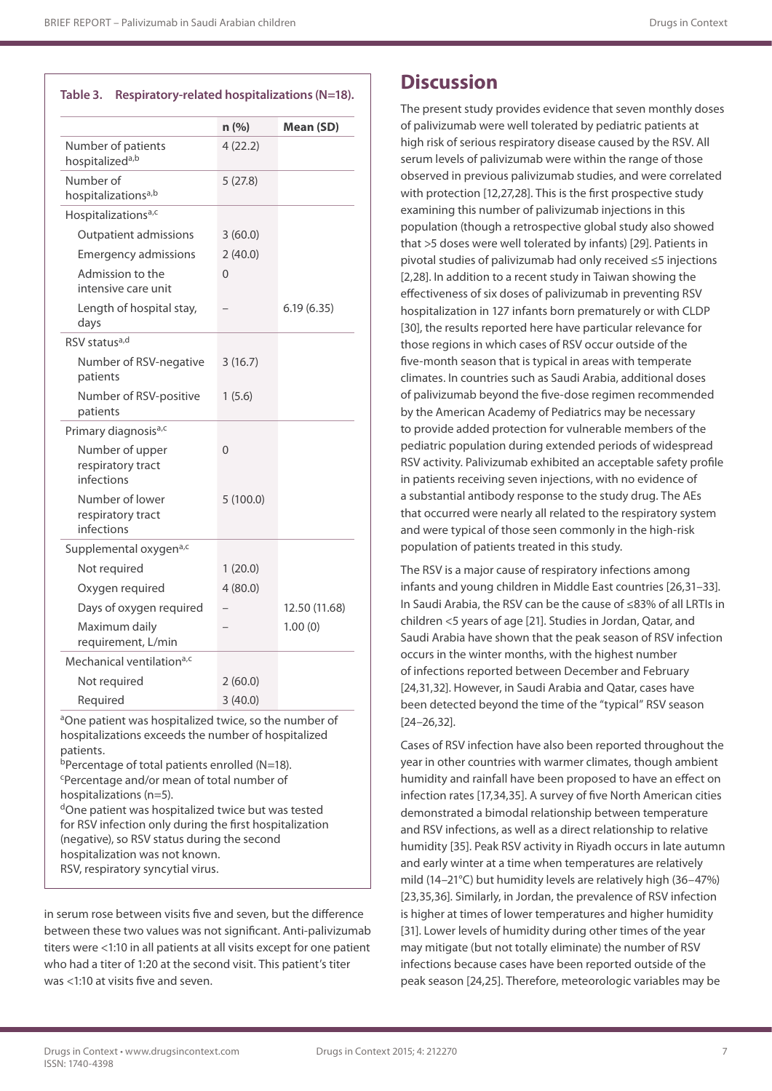## **Table 3. Respiratory-related hospitalizations (N=18).**

|                                                    | n (%)    | Mean (SD)     |
|----------------------------------------------------|----------|---------------|
| Number of patients<br>hospitalized <sup>a,b</sup>  | 4(22.2)  |               |
| Number of<br>hospitalizations <sup>a,b</sup>       | 5(27.8)  |               |
| Hospitalizations <sup>a,c</sup>                    |          |               |
| <b>Outpatient admissions</b>                       | 3(60.0)  |               |
| <b>Emergency admissions</b>                        | 2(40.0)  |               |
| Admission to the<br>intensive care unit            | $\Omega$ |               |
| Length of hospital stay,<br>days                   |          | 6.19(6.35)    |
| RSV status <sup>a,d</sup>                          |          |               |
| Number of RSV-negative<br>patients                 | 3(16.7)  |               |
| Number of RSV-positive<br>patients                 | 1(5.6)   |               |
| Primary diagnosis <sup>a,c</sup>                   |          |               |
| Number of upper<br>respiratory tract<br>infections | $\Omega$ |               |
| Number of lower<br>respiratory tract<br>infections | 5(100.0) |               |
| Supplemental oxygena,c                             |          |               |
| Not required                                       | 1(20.0)  |               |
| Oxygen required                                    | 4(80.0)  |               |
| Days of oxygen required                            |          | 12.50 (11.68) |
| Maximum daily<br>requirement, L/min                |          | 1.00(0)       |
| Mechanical ventilation <sup>a,c</sup>              |          |               |
| Not required                                       | 2(60.0)  |               |
| Required                                           | 3(40.0)  |               |

aOne patient was hospitalized twice, so the number of hospitalizations exceeds the number of hospitalized patients.

bPercentage of total patients enrolled (N=18). c Percentage and/or mean of total number of hospitalizations (n=5). <sup>d</sup>One patient was hospitalized twice but was tested

for RSV infection only during the first hospitalization (negative), so RSV status during the second hospitalization was not known. RSV, respiratory syncytial virus.

in serum rose between visits five and seven, but the difference between these two values was not significant. Anti-palivizumab titers were <1:10 in all patients at all visits except for one patient who had a titer of 1:20 at the second visit. This patient's titer was <1:10 at visits five and seven.

## **Discussion**

The present study provides evidence that seven monthly doses of palivizumab were well tolerated by pediatric patients at high risk of serious respiratory disease caused by the RSV. All serum levels of palivizumab were within the range of those observed in previous palivizumab studies, and were correlated with protection [12,27,28]. This is the first prospective study examining this number of palivizumab injections in this population (though a retrospective global study also showed that >5 doses were well tolerated by infants) [29]. Patients in pivotal studies of palivizumab had only received ≤5 injections [2,28]. In addition to a recent study in Taiwan showing the effectiveness of six doses of palivizumab in preventing RSV hospitalization in 127 infants born prematurely or with CLDP [30], the results reported here have particular relevance for those regions in which cases of RSV occur outside of the five-month season that is typical in areas with temperate climates. In countries such as Saudi Arabia, additional doses of palivizumab beyond the five-dose regimen recommended by the American Academy of Pediatrics may be necessary to provide added protection for vulnerable members of the pediatric population during extended periods of widespread RSV activity. Palivizumab exhibited an acceptable safety profile in patients receiving seven injections, with no evidence of a substantial antibody response to the study drug. The AEs that occurred were nearly all related to the respiratory system and were typical of those seen commonly in the high-risk population of patients treated in this study.

The RSV is a major cause of respiratory infections among infants and young children in Middle East countries [26,31–33]. In Saudi Arabia, the RSV can be the cause of ≤83% of all LRTIs in children <5 years of age [21]. Studies in Jordan, Qatar, and Saudi Arabia have shown that the peak season of RSV infection occurs in the winter months, with the highest number of infections reported between December and February [24,31,32]. However, in Saudi Arabia and Qatar, cases have been detected beyond the time of the "typical" RSV season [24–26,32].

Cases of RSV infection have also been reported throughout the year in other countries with warmer climates, though ambient humidity and rainfall have been proposed to have an effect on infection rates [17,34,35]. A survey of five North American cities demonstrated a bimodal relationship between temperature and RSV infections, as well as a direct relationship to relative humidity [35]. Peak RSV activity in Riyadh occurs in late autumn and early winter at a time when temperatures are relatively mild (14–21°C) but humidity levels are relatively high (36–47%) [23,35,36]. Similarly, in Jordan, the prevalence of RSV infection is higher at times of lower temperatures and higher humidity [31]. Lower levels of humidity during other times of the year may mitigate (but not totally eliminate) the number of RSV infections because cases have been reported outside of the peak season [24,25]. Therefore, meteorologic variables may be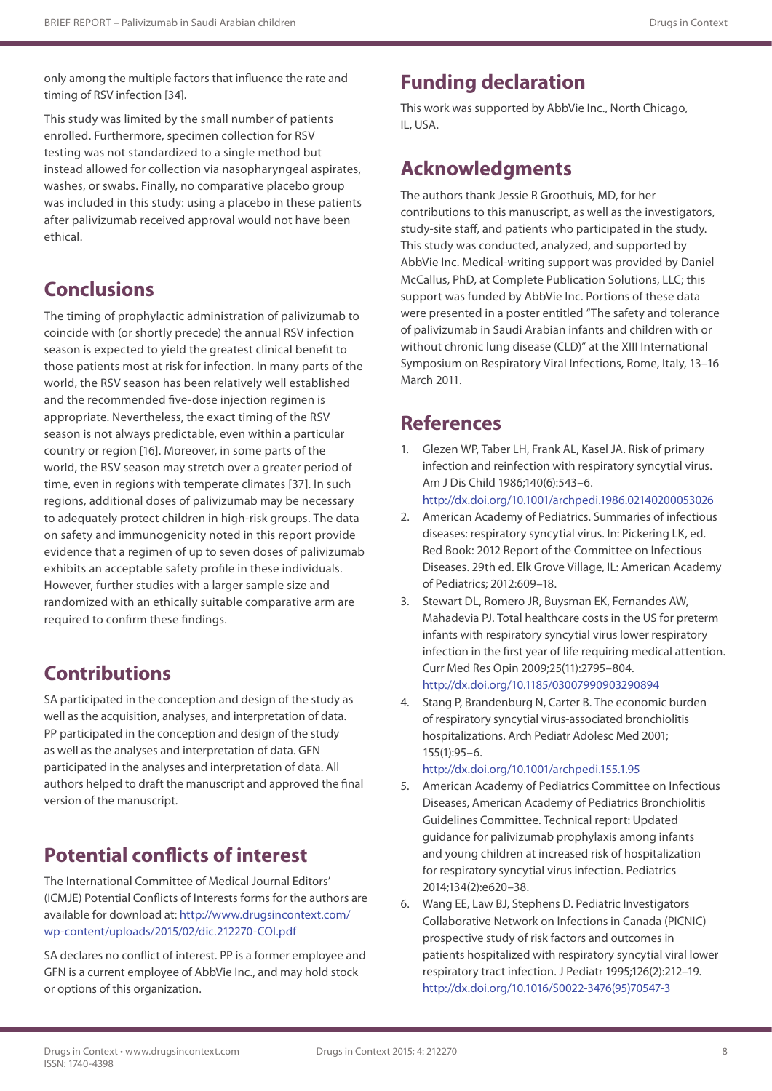only among the multiple factors that influence the rate and timing of RSV infection [34].

This study was limited by the small number of patients enrolled. Furthermore, specimen collection for RSV testing was not standardized to a single method but instead allowed for collection via nasopharyngeal aspirates, washes, or swabs. Finally, no comparative placebo group was included in this study: using a placebo in these patients after palivizumab received approval would not have been ethical.

# **Conclusions**

The timing of prophylactic administration of palivizumab to coincide with (or shortly precede) the annual RSV infection season is expected to yield the greatest clinical benefit to those patients most at risk for infection. In many parts of the world, the RSV season has been relatively well established and the recommended five-dose injection regimen is appropriate. Nevertheless, the exact timing of the RSV season is not always predictable, even within a particular country or region [16]. Moreover, in some parts of the world, the RSV season may stretch over a greater period of time, even in regions with temperate climates [37]. In such regions, additional doses of palivizumab may be necessary to adequately protect children in high-risk groups. The data on safety and immunogenicity noted in this report provide evidence that a regimen of up to seven doses of palivizumab exhibits an acceptable safety profile in these individuals. However, further studies with a larger sample size and randomized with an ethically suitable comparative arm are required to confirm these findings.

# **Contributions**

SA participated in the conception and design of the study as well as the acquisition, analyses, and interpretation of data. PP participated in the conception and design of the study as well as the analyses and interpretation of data. GFN participated in the analyses and interpretation of data. All authors helped to draft the manuscript and approved the final version of the manuscript.

# **Potential conflicts of interest**

The International Committee of Medical Journal Editors' (ICMJE) Potential Conflicts of Interests forms for the authors are available for download at: [http://www.drugsincontext.com/](http://www.drugsincontext.com/wp-content/uploads/2015/02/dic.212270-COI.pdf) [wp-content/uploads/2015/02/dic.212270-COI.pdf](http://www.drugsincontext.com/wp-content/uploads/2015/02/dic.212270-COI.pdf)

SA declares no conflict of interest. PP is a former employee and GFN is a current employee of AbbVie Inc., and may hold stock or options of this organization.

# **Funding declaration**

This work was supported by AbbVie Inc., North Chicago, IL, USA.

# **Acknowledgments**

The authors thank Jessie R Groothuis, MD, for her contributions to this manuscript, as well as the investigators, study-site staff, and patients who participated in the study. This study was conducted, analyzed, and supported by AbbVie Inc. Medical-writing support was provided by Daniel McCallus, PhD, at Complete Publication Solutions, LLC; this support was funded by AbbVie Inc. Portions of these data were presented in a poster entitled "The safety and tolerance of palivizumab in Saudi Arabian infants and children with or without chronic lung disease (CLD)" at the XIII International Symposium on Respiratory Viral Infections, Rome, Italy, 13–16 March 2011.

## **References**

- 1. Glezen WP, Taber LH, Frank AL, Kasel JA. Risk of primary infection and reinfection with respiratory syncytial virus. Am J Dis Child 1986;140(6):543–6. <http://dx.doi.org/10.1001/archpedi.1986.02140200053026>
- 2. American Academy of Pediatrics. Summaries of infectious diseases: respiratory syncytial virus. In: Pickering LK, ed. Red Book: 2012 Report of the Committee on Infectious Diseases. 29th ed. Elk Grove Village, IL: American Academy of Pediatrics; 2012:609–18.
- 3. Stewart DL, Romero JR, Buysman EK, Fernandes AW, Mahadevia PJ. Total healthcare costs in the US for preterm infants with respiratory syncytial virus lower respiratory infection in the first year of life requiring medical attention. Curr Med Res Opin 2009;25(11):2795–804. <http://dx.doi.org/10.1185/03007990903290894>
- 4. Stang P, Brandenburg N, Carter B. The economic burden of respiratory syncytial virus-associated bronchiolitis hospitalizations. Arch Pediatr Adolesc Med 2001; 155(1):95–6.

#### <http://dx.doi.org/10.1001/archpedi.155.1.95>

- 5. American Academy of Pediatrics Committee on Infectious Diseases, American Academy of Pediatrics Bronchiolitis Guidelines Committee. Technical report: Updated guidance for palivizumab prophylaxis among infants and young children at increased risk of hospitalization for respiratory syncytial virus infection. Pediatrics 2014;134(2):e620–38.
- 6. Wang EE, Law BJ, Stephens D. Pediatric Investigators Collaborative Network on Infections in Canada (PICNIC) prospective study of risk factors and outcomes in patients hospitalized with respiratory syncytial viral lower respiratory tract infection. J Pediatr 1995;126(2):212–19. [http://dx.doi.org/10.1016/S0022-3476\(95\)70547-3](http://dx.doi.org/10.1016/S0022-3476(95)70547-3)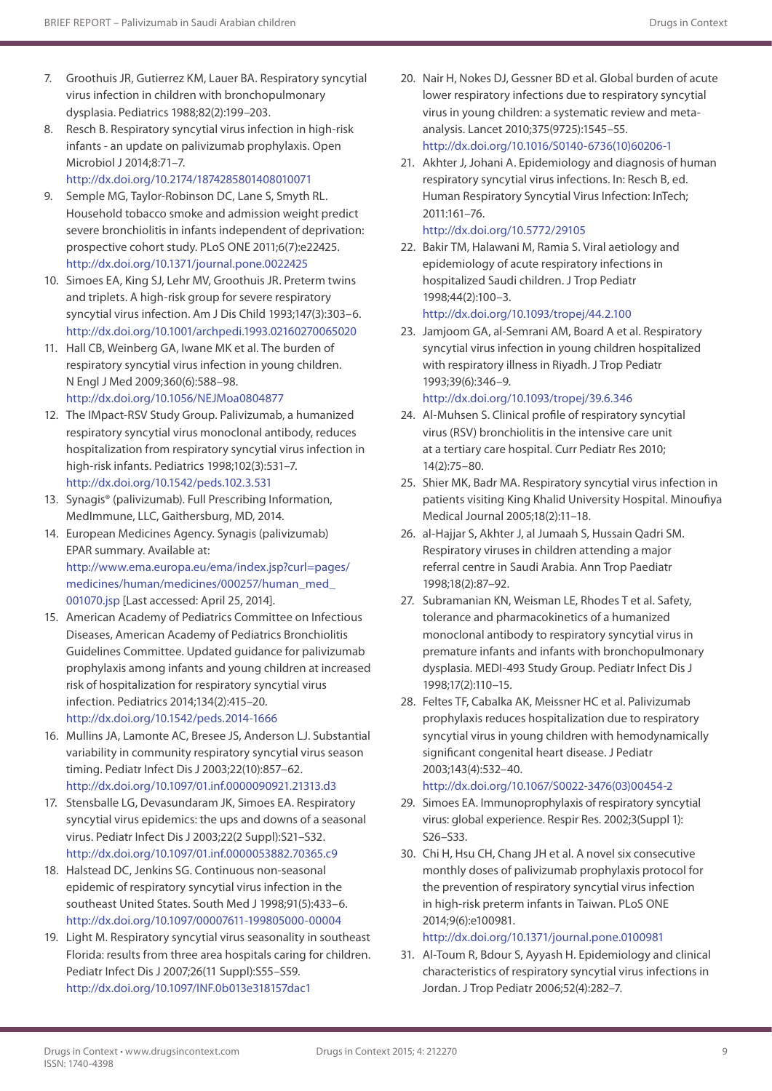- 7. Groothuis JR, Gutierrez KM, Lauer BA. Respiratory syncytial virus infection in children with bronchopulmonary dysplasia. Pediatrics 1988;82(2):199–203.
- 8. Resch B. Respiratory syncytial virus infection in high-risk infants - an update on palivizumab prophylaxis. Open Microbiol J 2014;8:71–7.

<http://dx.doi.org/10.2174/1874285801408010071>

- 9. Semple MG, Taylor-Robinson DC, Lane S, Smyth RL. Household tobacco smoke and admission weight predict severe bronchiolitis in infants independent of deprivation: prospective cohort study. PLoS ONE 2011;6(7):e22425. <http://dx.doi.org/10.1371/journal.pone.0022425>
- 10. Simoes EA, King SJ, Lehr MV, Groothuis JR. Preterm twins and triplets. A high-risk group for severe respiratory syncytial virus infection. Am J Dis Child 1993;147(3):303–6. <http://dx.doi.org/10.1001/archpedi.1993.02160270065020>
- 11. Hall CB, Weinberg GA, Iwane MK et al. The burden of respiratory syncytial virus infection in young children. N Engl J Med 2009;360(6):588–98. <http://dx.doi.org/10.1056/NEJMoa0804877>
- 12. The IMpact-RSV Study Group. Palivizumab, a humanized respiratory syncytial virus monoclonal antibody, reduces hospitalization from respiratory syncytial virus infection in high-risk infants. Pediatrics 1998;102(3):531–7. <http://dx.doi.org/10.1542/peds.102.3.531>
- 13. Synagis® (palivizumab). Full Prescribing Information, MedImmune, LLC, Gaithersburg, MD, 2014.
- 14. European Medicines Agency. Synagis (palivizumab) EPAR summary. Available at: [http://www.ema.europa.eu/ema/index.jsp?curl=pages/](http://www.ema.europa.eu/ema/index.jsp?curl=pages/medicines/human/medicines/000257/human_med_001070.jsp) [medicines/human/medicines/000257/human\\_med\\_](http://www.ema.europa.eu/ema/index.jsp?curl=pages/medicines/human/medicines/000257/human_med_001070.jsp) [001070.jsp](http://www.ema.europa.eu/ema/index.jsp?curl=pages/medicines/human/medicines/000257/human_med_001070.jsp) [Last accessed: April 25, 2014].
- 15. American Academy of Pediatrics Committee on Infectious Diseases, American Academy of Pediatrics Bronchiolitis Guidelines Committee. Updated guidance for palivizumab prophylaxis among infants and young children at increased risk of hospitalization for respiratory syncytial virus infection. Pediatrics 2014;134(2):415–20. <http://dx.doi.org/10.1542/peds.2014-1666>
- 16. Mullins JA, Lamonte AC, Bresee JS, Anderson LJ. Substantial variability in community respiratory syncytial virus season timing. Pediatr Infect Dis J 2003;22(10):857–62. <http://dx.doi.org/10.1097/01.inf.0000090921.21313.d3>
- 17. Stensballe LG, Devasundaram JK, Simoes EA. Respiratory syncytial virus epidemics: the ups and downs of a seasonal virus. Pediatr Infect Dis J 2003;22(2 Suppl):S21–S32. <http://dx.doi.org/10.1097/01.inf.0000053882.70365.c9>
- 18. Halstead DC, Jenkins SG. Continuous non-seasonal epidemic of respiratory syncytial virus infection in the southeast United States. South Med J 1998;91(5):433–6. <http://dx.doi.org/10.1097/00007611-199805000-00004>
- 19. Light M. Respiratory syncytial virus seasonality in southeast Florida: results from three area hospitals caring for children. Pediatr Infect Dis J 2007;26(11 Suppl):S55–S59. <http://dx.doi.org/10.1097/INF.0b013e318157dac1>
- 20. Nair H, Nokes DJ, Gessner BD et al. Global burden of acute lower respiratory infections due to respiratory syncytial virus in young children: a systematic review and metaanalysis. Lancet 2010;375(9725):1545–55. [http://dx.doi.org/10.1016/S0140-6736\(10\)60206-1](http://dx.doi.org/10.1016/S0140-6736(10)60206-1)
- 21. Akhter J, Johani A. Epidemiology and diagnosis of human respiratory syncytial virus infections. In: Resch B, ed. Human Respiratory Syncytial Virus Infection: InTech; 2011:161–76. <http://dx.doi.org/10.5772/29105>
- 22. Bakir TM, Halawani M, Ramia S. Viral aetiology and epidemiology of acute respiratory infections in hospitalized Saudi children. J Trop Pediatr 1998;44(2):100–3. <http://dx.doi.org/10.1093/tropej/44.2.100>
- 23. Jamjoom GA, al-Semrani AM, Board A et al. Respiratory syncytial virus infection in young children hospitalized with respiratory illness in Riyadh. J Trop Pediatr 1993;39(6):346–9.

<http://dx.doi.org/10.1093/tropej/39.6.346>

- 24. Al-Muhsen S. Clinical profile of respiratory syncytial virus (RSV) bronchiolitis in the intensive care unit at a tertiary care hospital. Curr Pediatr Res 2010; 14(2):75–80.
- 25. Shier MK, Badr MA. Respiratory syncytial virus infection in patients visiting King Khalid University Hospital. Minoufiya Medical Journal 2005;18(2):11–18.
- 26. al-Hajjar S, Akhter J, al Jumaah S, Hussain Oadri SM. Respiratory viruses in children attending a major referral centre in Saudi Arabia. Ann Trop Paediatr 1998;18(2):87–92.
- 27. Subramanian KN, Weisman LE, Rhodes T et al. Safety, tolerance and pharmacokinetics of a humanized monoclonal antibody to respiratory syncytial virus in premature infants and infants with bronchopulmonary dysplasia. MEDI-493 Study Group. Pediatr Infect Dis J 1998;17(2):110–15.
- 28. Feltes TF, Cabalka AK, Meissner HC et al. Palivizumab prophylaxis reduces hospitalization due to respiratory syncytial virus in young children with hemodynamically significant congenital heart disease. J Pediatr 2003;143(4):532–40. [http://dx.doi.org/10.1067/S0022-3476\(03\)00454-2](http://dx.doi.org/10.1067/S0022-3476(03)00454-2)
- 29. Simoes EA. Immunoprophylaxis of respiratory syncytial virus: global experience. Respir Res. 2002;3(Suppl 1): S26–S33.
- 30. Chi H, Hsu CH, Chang JH et al. A novel six consecutive monthly doses of palivizumab prophylaxis protocol for the prevention of respiratory syncytial virus infection in high-risk preterm infants in Taiwan. PLoS ONE 2014;9(6):e100981.

## <http://dx.doi.org/10.1371/journal.pone.0100981>

31. Al-Toum R, Bdour S, Ayyash H. Epidemiology and clinical characteristics of respiratory syncytial virus infections in Jordan. J Trop Pediatr 2006;52(4):282–7.